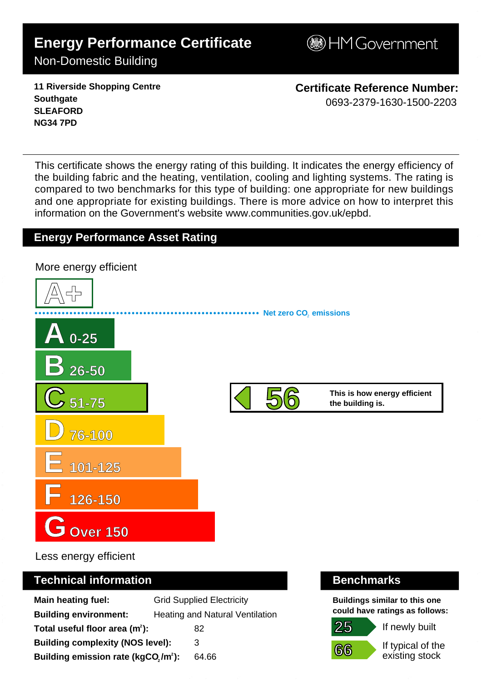# **Energy Performance Certificate**

**BHM Government** 

# Non-Domestic Building

**11 Riverside Shopping Centre Southgate SLEAFORD NG34 7PD**

**Certificate Reference Number:** 0693-2379-1630-1500-2203

This certificate shows the energy rating of this building. It indicates the energy efficiency of the building fabric and the heating, ventilation, cooling and lighting systems. The rating is compared to two benchmarks for this type of building: one appropriate for new buildings and one appropriate for existing buildings. There is more advice on how to interpret this information on the Government's websit[e www.communities.gov.uk/epbd.](http://www.communities.gov.uk/epbd)

## **Energy Performance Asset Rating**



Less energy efficient

#### **Technical information Benchmarks**

| <b>Main heating fuel:</b>                       | <b>Grid Supplied Electricity</b> |       |
|-------------------------------------------------|----------------------------------|-------|
| <b>Building environment:</b>                    | Heating and Natural Ventilation  |       |
| Total useful floor area $(m2)$ :                |                                  | 82    |
| <b>Building complexity (NOS level):</b>         |                                  | 3     |
| Building emission rate (kgCO,/m <sup>2</sup> ): |                                  | 64.66 |

**Buildings similar to this one could have ratings as follows:**



If newly built

If typical of the existing stock